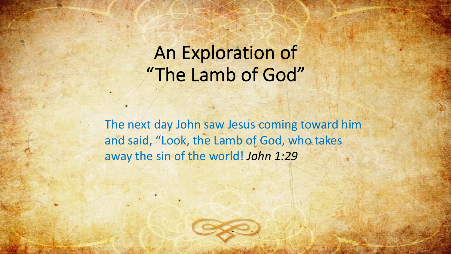# An Exploration of "The Lamb of God"

The next day John saw Jesus coming toward him and said, "Look, the Lamb of God, who takes away the sin of the world! *John 1:29*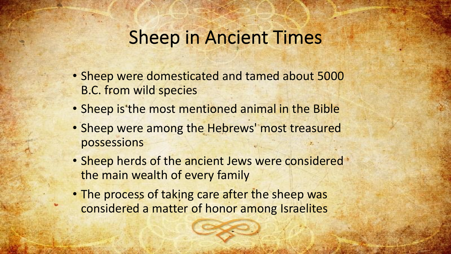## Sheep in Ancient Times

- Sheep were domesticated and tamed about 5000 B.C. from wild species
- Sheep is the most mentioned animal in the Bible
- Sheep were among the Hebrews' most treasured possessions
- Sheep herds of the ancient Jews were considered \* the main wealth of every family
- The process of taking care after the sheep was considered a matter of honor among Israelites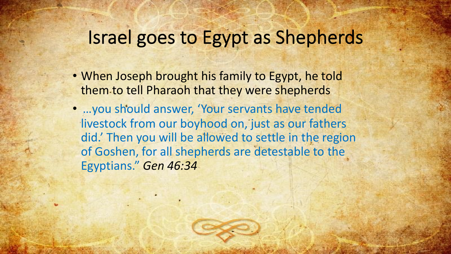# Israel goes to Egypt as Shepherds

- When Joseph brought his family to Egypt, he told them to tell Pharaoh that they were shepherds
- …you should answer, 'Your servants have tended livestock from our boyhood on, just as our fathers did.' Then you will be allowed to settle in the region of Goshen, for all shepherds are detestable to the Egyptians." *Gen 46:34*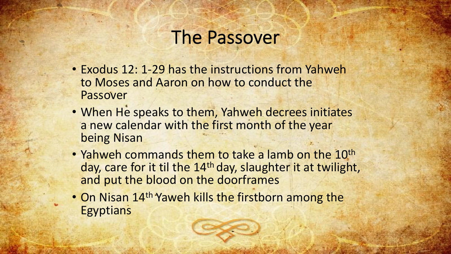#### The Passover

- Exodus 12: 1-29 has the instructions from Yahweh to Moses and Aaron on how to conduct the Passover
- When He speaks to them, Yahweh decrees initiates a new calendar with the first month of the year being Nisan
- Yahweh commands them to take a lamb on the 10<sup>th</sup> day, care for it til the 14<sup>th</sup> day, slaughter it at twilight, and put the blood on the doorframes
- On Nisan 14<sup>th</sup> Yaweh kills the firstborn among the **Egyptians**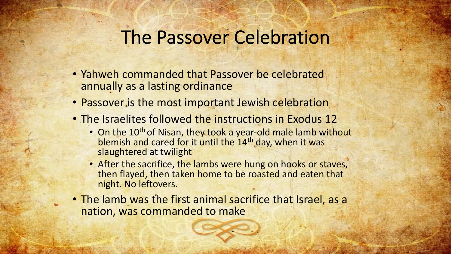## The Passover Celebration

- Yahweh commanded that Passover be celebrated annually as a lasting ordinance
- Passover is the most important Jewish celebration
- The Israelites followed the instructions in Exodus 12
	- On the 10<sup>th</sup> of Nisan, they took a year-old male lamb without blemish and cared for it until the 14<sup>th</sup> day, when it was slaughtered at twilight
	- After the sacrifice, the lambs were hung on hooks or staves, then flayed, then taken home to be roasted and eaten that night. No leftovers.
- The lamb was the first animal sacrifice that Israel, as a nation, was commanded to make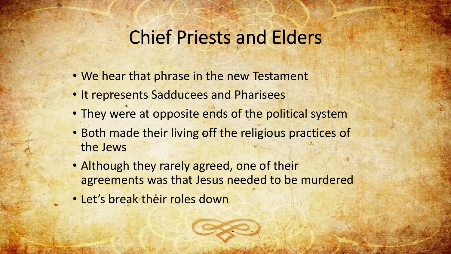## Chief Priests and Elders

- We hear that phrase in the new Testament
- It represents Sadducees and Pharisees
- They were at opposite ends of the political system
- Both made their living off the religious practices of the Jews
- Although they rarely agreed, one of their agreements was that Jesus needed to be murdered
- Let's break their roles down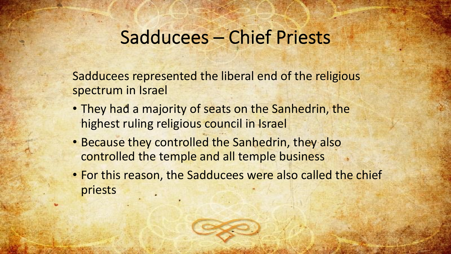## Sadducees – Chief Priests

Sadducees represented the liberal end of the religious spectrum in Israel

- They had a majority of seats on the Sanhedrin, the highest ruling religious council in Israel
- Because they controlled the Sanhedrin, they also controlled the temple and all temple business
- For this reason, the Sadducees were also called the chief priests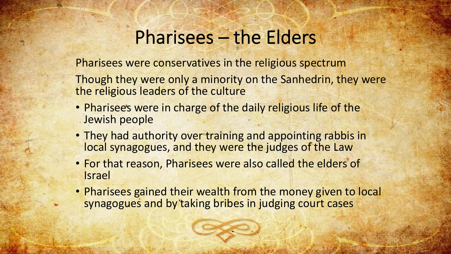## Pharisees – the Elders

Pharisees were conservatives in the religious spectrum

Though they were only a minority on the Sanhedrin, they were the religious leaders of the culture

- Pharisees were in charge of the daily religious life of the Jewish people
- They had authority over training and appointing rabbis in local synagogues, and they were the judges of the Law
- For that reason, Pharisees were also called the elders of Israel
- Pharisees gained their wealth from the money given to local synagogues and by taking bribes in judging court cases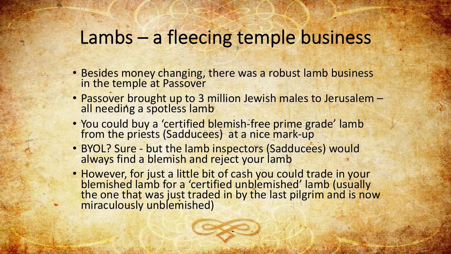## Lambs – a fleecing temple business

- Besides money changing, there was a robust lamb business in the temple at Passover
- Passover brought up to 3 million Jewish males to Jerusalem -<br>all needing a spotless lamb
- You could buy a 'certified blemish-free prime grade' lamb from the priests (Sadducees) at a nice mark-up
- BYOL? Sure but the lamb inspectors (Sadducees) would always find a blemish and reject your lamb
- However, for just a little bit of cash you could trade in your blemished lamb for a 'certified unblemished' lamb (usually the one that was just traded in by the last pilgrim and is now miraculously unblemished)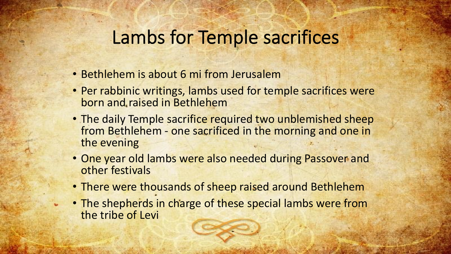#### Lambs for Temple sacrifices

- Bethlehem is about 6 mi from Jerusalem
- Per rabbinic writings, lambs used for temple sacrifices were born and raised in Bethlehem
- The daily Temple sacrifice required two unblemished sheep from Bethlehem - one sacrificed in the morning and one in the evening
- One year old lambs were also needed during Passover and other festivals
- There were thousands of sheep raised around Bethlehem
- The shepherds in charge of these special lambs were from the tribe of Levi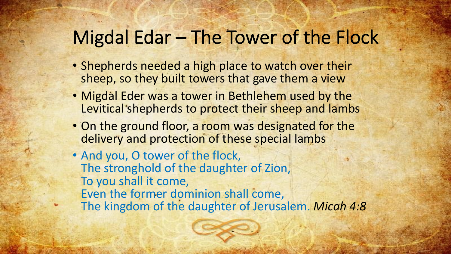#### Migdal Edar – The Tower of the Flock

- Shepherds needed a high place to watch over their sheep, so they built towers that gave them a view
- Migdal Eder was a tower in Bethlehem used by the Levitical shepherds to protect their sheep and lambs
- On the ground floor, a room was designated for the delivery and protection of these special lambs
- And you, O tower of the flock, The stronghold of the daughter of Zion, To you shall it come, Even the former dominion shall come, The kingdom of the daughter of Jerusalem. *Micah 4:8*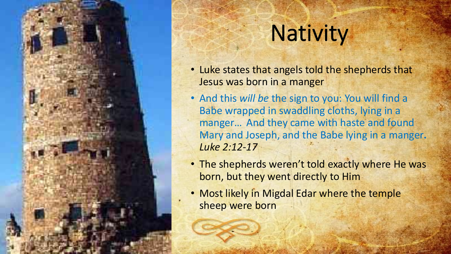

# **Nativity**

- Luke states that angels told the shepherds that Jesus was born in a manger
- And this *will be* the sign to you: You will find a Babe wrapped in swaddling cloths, lying in a manger… And they came with haste and found Mary and Joseph, and the Babe lying in a manger**.**  *Luke 2:12-17*
- The shepherds weren't told exactly where He was born, but they went directly to Him
- Most likely in Migdal Edar where the temple sheep were born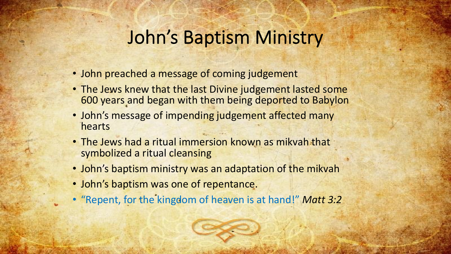## John's Baptism Ministry

- John preached a message of coming judgement
- The Jews knew that the last Divine judgement lasted some 600 years and began with them being deported to Babylon
- John's message of impending judgement affected many hearts
- The Jews had a ritual immersion known as mikvah that symbolized a ritual cleansing
- John's baptism ministry was an adaptation of the mikvah
- John's baptism was one of repentance.
- "Repent, for the kingdom of heaven is at hand!" *Matt 3:2*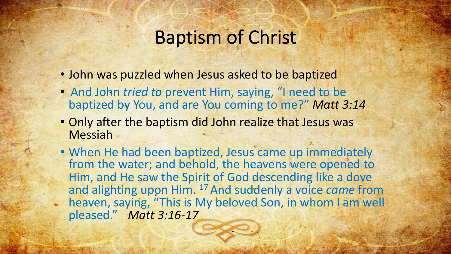## Baptism of Christ

- John was puzzled when Jesus asked to be baptized
- And John *tried to* prevent Him, saying, "I need to be baptized by You, and are You coming to me?" *Matt 3:14*
- Only after the baptism did John realize that Jesus was Messiah
- When He had been baptized, Jesus came up immediately from the water; and behold, the heavens were opened to Him, and He saw the Spirit of God descending like a dove and alighting upon Him. 17 And suddenly a voice *came* from heaven, saying, "This is My beloved Son, in whom I am well pleased." *Matt 3:16-17*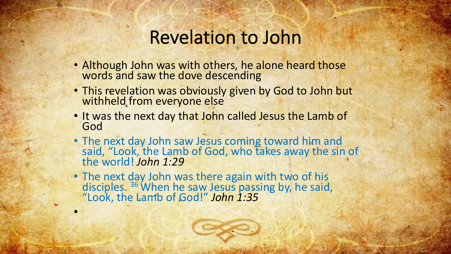#### Revelation to John

- Although John was with others, he alone heard those words and saw the dove descending
- This revelation was obviously given by God to John but withheld from everyone else
- It was the next day that John called Jesus the Lamb of God
- The next day John saw Jesus coming toward him and said, "Look, the Lamb of God, who takes away the sin of the world! *John 1:29*
- The next day John was there again with two of his disciples. 36 When he saw Jesus passing by, he said, "Look, the Lamb of God!" *John 1:35*

•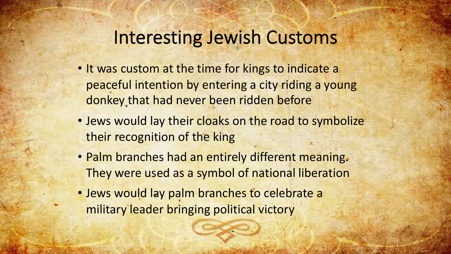## Interesting Jewish Customs

- It was custom at the time for kings to indicate a peaceful intention by entering a city riding a young donkey that had never been ridden before
- Jews would lay their cloaks on the road to symbolize their recognition of the king
- Palm branches had an entirely different meaning. They were used as a symbol of national liberation
- Jews would lay palm branches to celebrate a military leader bringing political victory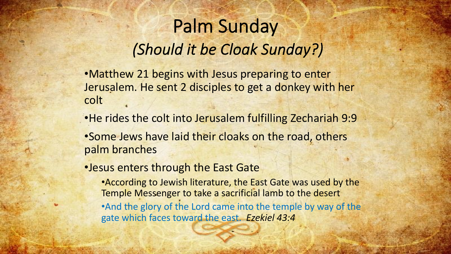# Palm Sunday *(Should it be Cloak Sunday?)*

•Matthew 21 begins with Jesus preparing to enter Jerusalem. He sent 2 disciples to get a donkey with her colt

•He rides the colt into Jerusalem fulfilling Zechariah 9:9

•Some Jews have laid their cloaks on the road, others palm branches

•Jesus enters through the East Gate

•According to Jewish literature, the East Gate was used by the Temple Messenger to take a sacrificial lamb to the desert •And the glory of the Lord came into the temple by way of the gate which faces toward the east. *Ezekiel 43:4*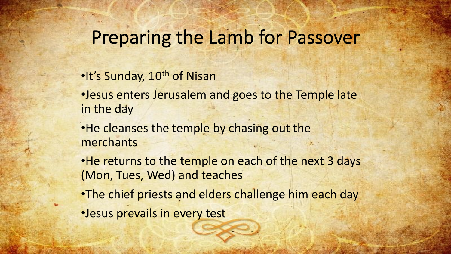## Preparing the Lamb for Passover

•It's Sunday, 10<sup>th</sup> of Nisan

•Jesus enters Jerusalem and goes to the Temple late in the day

•He cleanses the temple by chasing out the merchants

•He returns to the temple on each of the next 3 days (Mon, Tues, Wed) and teaches

- •The chief priests and elders challenge him each day
- •Jesus prevails in every test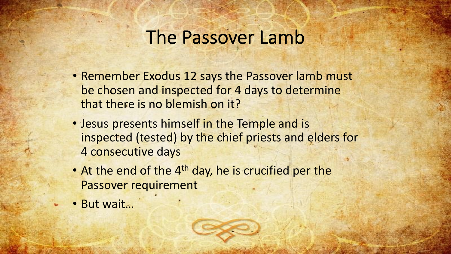#### The Passover Lamb

- Remember Exodus 12 says the Passover lamb must be chosen and inspected for 4 days to determine that there is no blemish on it?
- Jesus presents himself in the Temple and is inspected (tested) by the chief priests and elders for 4 consecutive days
- At the end of the 4<sup>th</sup> day, he is crucified per the Passover requirement
- But wait…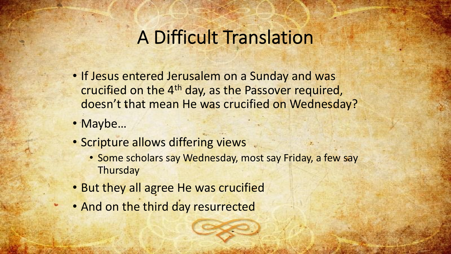### A Difficult Translation

- If Jesus entered Jerusalem on a Sunday and was crucified on the 4th day, as the Passover required, doesn't that mean He was crucified on Wednesday?
- Maybe…
- Scripture allows differing views
	- Some scholars say Wednesday, most say Friday, a few say **Thursday**
- But they all agree He was crucified
- And on the third day resurrected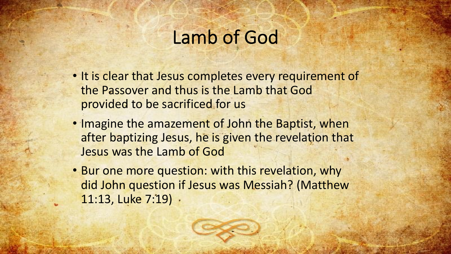## Lamb of God

- It is clear that Jesus completes every requirement of the Passover and thus is the Lamb that God provided to be sacrificed for us
- Imagine the amazement of John the Baptist, when after baptizing Jesus, he is given the revelation that Jesus was the Lamb of God
- Bur one more question: with this revelation, why did John question if Jesus was Messiah? (Matthew 11:13, Luke 7:19)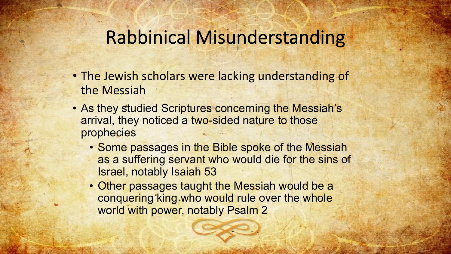## Rabbinical Misunderstanding

- The Jewish scholars were lacking understanding of the Messiah
- As they studied Scriptures concerning the Messiah's arrival, they noticed a two-sided nature to those prophecies
	- Some passages in the Bible spoke of the Messiah as a suffering servant who would die for the sins of Israel, notably Isaiah 53
	- Other passages taught the Messiah would be a conquering king who would rule over the whole world with power, notably Psalm 2